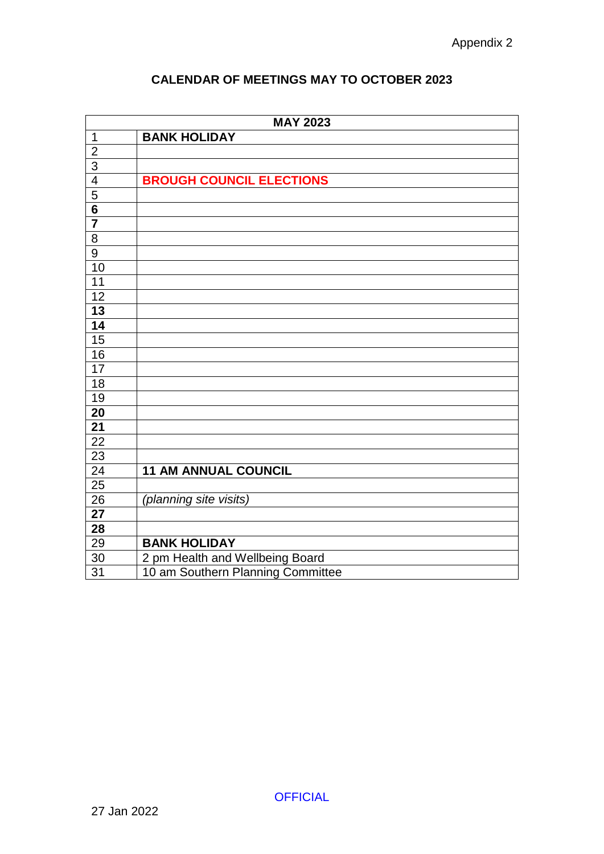|  |  |  | <b>CALENDAR OF MEETINGS MAY TO OCTOBER 2023</b> |
|--|--|--|-------------------------------------------------|
|--|--|--|-------------------------------------------------|

|                         | <b>MAY 2023</b>                   |
|-------------------------|-----------------------------------|
| $\overline{1}$          | <b>BANK HOLIDAY</b>               |
| $\overline{2}$          |                                   |
| $\overline{3}$          |                                   |
| $\overline{4}$          | <b>BROUGH COUNCIL ELECTIONS</b>   |
| $\frac{5}{6}$           |                                   |
|                         |                                   |
| $\overline{\mathbf{7}}$ |                                   |
| $\overline{8}$          |                                   |
| 9                       |                                   |
| 10                      |                                   |
| $\overline{11}$         |                                   |
| $\overline{12}$         |                                   |
| $\overline{13}$         |                                   |
| $\overline{14}$         |                                   |
| $\overline{15}$         |                                   |
| 16                      |                                   |
| $\overline{17}$         |                                   |
| $\overline{18}$         |                                   |
| 19                      |                                   |
| $\overline{20}$         |                                   |
| 21                      |                                   |
| 22                      |                                   |
| 23                      |                                   |
| $\overline{24}$         | <b>11 AM ANNUAL COUNCIL</b>       |
| $\overline{25}$         |                                   |
| $\overline{26}$         | (planning site visits)            |
| 27                      |                                   |
| 28                      |                                   |
| 29                      | <b>BANK HOLIDAY</b>               |
| $30\,$                  | 2 pm Health and Wellbeing Board   |
| $\overline{31}$         | 10 am Southern Planning Committee |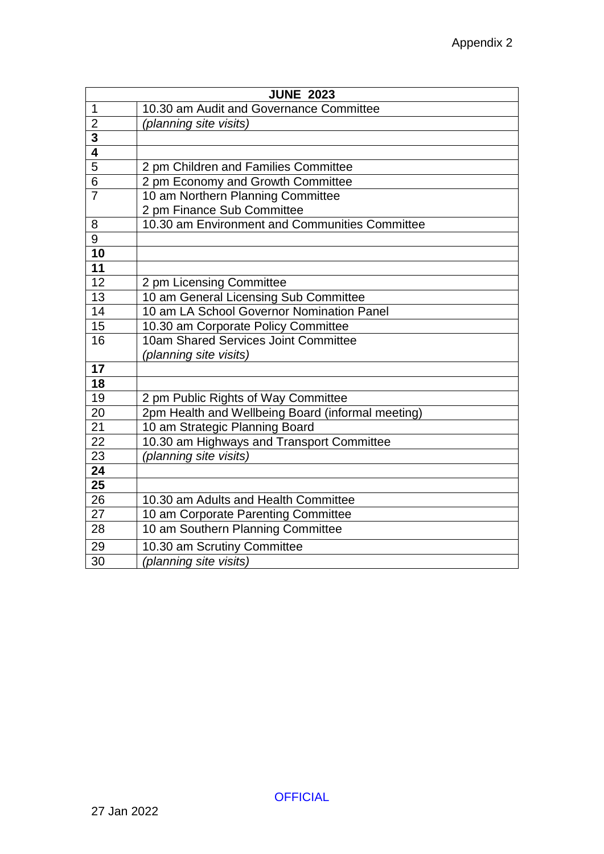| <b>JUNE 2023</b> |                                                   |  |
|------------------|---------------------------------------------------|--|
| 1                | 10.30 am Audit and Governance Committee           |  |
| $\overline{2}$   | (planning site visits)                            |  |
| $\frac{3}{4}$    |                                                   |  |
|                  |                                                   |  |
| $\overline{5}$   | 2 pm Children and Families Committee              |  |
| 6                | 2 pm Economy and Growth Committee                 |  |
| $\overline{7}$   | 10 am Northern Planning Committee                 |  |
|                  | 2 pm Finance Sub Committee                        |  |
| 8                | 10.30 am Environment and Communities Committee    |  |
| $\overline{9}$   |                                                   |  |
| $\overline{10}$  |                                                   |  |
| 11               |                                                   |  |
| 12               | 2 pm Licensing Committee                          |  |
| 13               | 10 am General Licensing Sub Committee             |  |
| $\overline{14}$  | 10 am LA School Governor Nomination Panel         |  |
| 15               | 10.30 am Corporate Policy Committee               |  |
| $\overline{16}$  | 10am Shared Services Joint Committee              |  |
|                  | (planning site visits)                            |  |
| $\overline{17}$  |                                                   |  |
| 18               |                                                   |  |
| 19               | 2 pm Public Rights of Way Committee               |  |
| 20               | 2pm Health and Wellbeing Board (informal meeting) |  |
| 21               | 10 am Strategic Planning Board                    |  |
| 22               | 10.30 am Highways and Transport Committee         |  |
| 23               | (planning site visits)                            |  |
| 24               |                                                   |  |
| $\overline{25}$  |                                                   |  |
| 26               | 10.30 am Adults and Health Committee              |  |
| 27               | 10 am Corporate Parenting Committee               |  |
| 28               | 10 am Southern Planning Committee                 |  |
| 29               | 10.30 am Scrutiny Committee                       |  |
| 30               | (planning site visits)                            |  |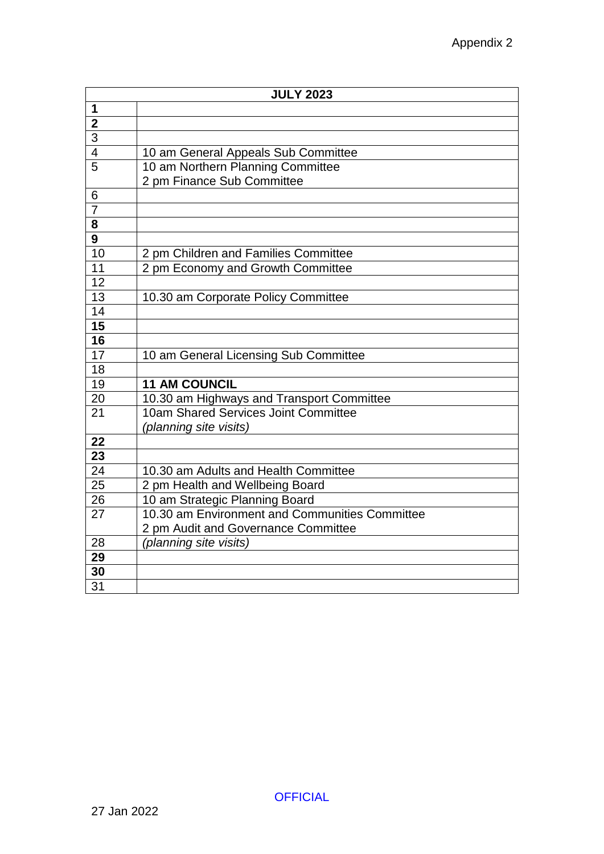| <b>JULY 2023</b> |                                                |
|------------------|------------------------------------------------|
| 1                |                                                |
| $\overline{2}$   |                                                |
| $\overline{3}$   |                                                |
| $\overline{4}$   | 10 am General Appeals Sub Committee            |
| $\overline{5}$   | 10 am Northern Planning Committee              |
|                  | 2 pm Finance Sub Committee                     |
| 6                |                                                |
| $\overline{7}$   |                                                |
| 8                |                                                |
| $\overline{9}$   |                                                |
| 10               | 2 pm Children and Families Committee           |
| 11               | 2 pm Economy and Growth Committee              |
| 12               |                                                |
| 13               | 10.30 am Corporate Policy Committee            |
| 14               |                                                |
| $\overline{15}$  |                                                |
| 16               |                                                |
| $\overline{17}$  | 10 am General Licensing Sub Committee          |
| 18               |                                                |
| $\overline{19}$  | <b>11 AM COUNCIL</b>                           |
| 20               | 10.30 am Highways and Transport Committee      |
| 21               | 10am Shared Services Joint Committee           |
|                  | (planning site visits)                         |
| 22               |                                                |
| $\overline{23}$  |                                                |
| 24               | 10.30 am Adults and Health Committee           |
| $\overline{25}$  | 2 pm Health and Wellbeing Board                |
| 26               | 10 am Strategic Planning Board                 |
| 27               | 10.30 am Environment and Communities Committee |
|                  | 2 pm Audit and Governance Committee            |
| 28               | (planning site visits)                         |
| 29               |                                                |
| 30               |                                                |
| 31               |                                                |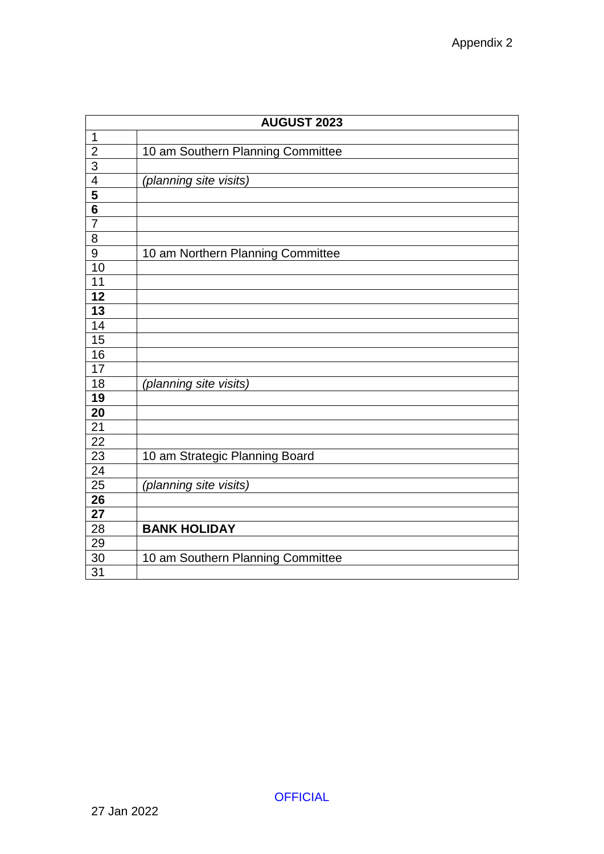| <b>AUGUST 2023</b> |                                   |
|--------------------|-----------------------------------|
| $\mathbf 1$        |                                   |
|                    | 10 am Southern Planning Committee |
| $\frac{2}{3}$      |                                   |
|                    | (planning site visits)            |
| $\frac{4}{5}$      |                                   |
|                    |                                   |
| $\overline{7}$     |                                   |
| $\overline{8}$     |                                   |
| $\overline{9}$     | 10 am Northern Planning Committee |
| 10                 |                                   |
| 11                 |                                   |
| $\overline{12}$    |                                   |
| $\overline{13}$    |                                   |
| $\overline{14}$    |                                   |
| 15                 |                                   |
| 16                 |                                   |
| 17                 |                                   |
| 18                 | (planning site visits)            |
| 19                 |                                   |
| 20                 |                                   |
| 21                 |                                   |
| 22                 |                                   |
| 23                 | 10 am Strategic Planning Board    |
| $\overline{24}$    |                                   |
| $\overline{25}$    | (planning site visits)            |
| $2\overline{6}$    |                                   |
| 27                 |                                   |
| 28                 | <b>BANK HOLIDAY</b>               |
| 29                 |                                   |
| 30                 | 10 am Southern Planning Committee |
| $\overline{31}$    |                                   |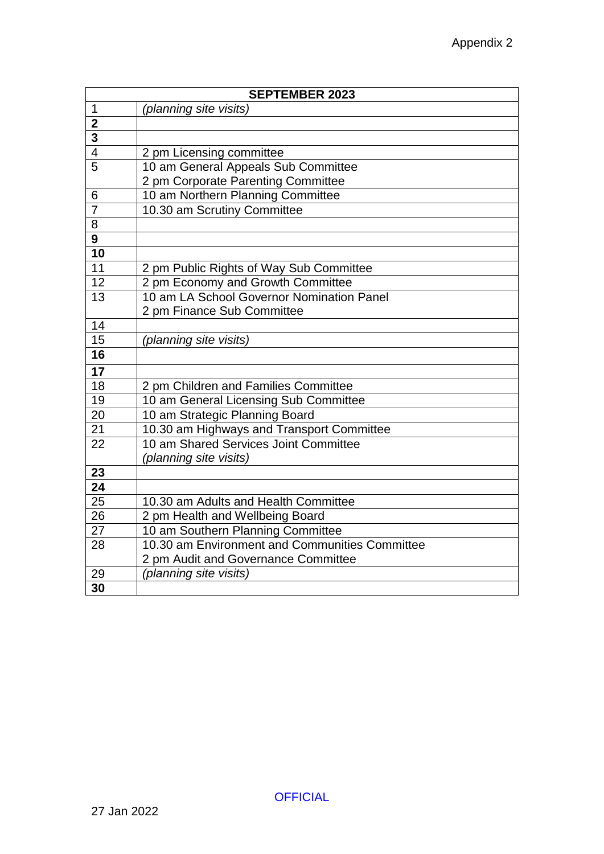| <b>SEPTEMBER 2023</b>   |                                                |
|-------------------------|------------------------------------------------|
| 1                       | (planning site visits)                         |
| $\overline{\mathbf{2}}$ |                                                |
| $\overline{3}$          |                                                |
| $\overline{4}$          | 2 pm Licensing committee                       |
| $\overline{5}$          | 10 am General Appeals Sub Committee            |
|                         | 2 pm Corporate Parenting Committee             |
| 6                       | 10 am Northern Planning Committee              |
| $\overline{7}$          | 10.30 am Scrutiny Committee                    |
| 8                       |                                                |
| $\overline{\mathbf{g}}$ |                                                |
| $\overline{10}$         |                                                |
| 11                      | 2 pm Public Rights of Way Sub Committee        |
| 12                      | 2 pm Economy and Growth Committee              |
| 13                      | 10 am LA School Governor Nomination Panel      |
|                         | 2 pm Finance Sub Committee                     |
| 14                      |                                                |
| 15                      | (planning site visits)                         |
| 16                      |                                                |
| $\overline{17}$         |                                                |
| 18                      | 2 pm Children and Families Committee           |
| 19                      | 10 am General Licensing Sub Committee          |
| 20                      | 10 am Strategic Planning Board                 |
| 21                      | 10.30 am Highways and Transport Committee      |
| 22                      | 10 am Shared Services Joint Committee          |
|                         | (planning site visits)                         |
| 23                      |                                                |
| $\overline{24}$         |                                                |
| $\overline{25}$         | 10.30 am Adults and Health Committee           |
| $\overline{26}$         | 2 pm Health and Wellbeing Board                |
| $\overline{27}$         | 10 am Southern Planning Committee              |
| 28                      | 10.30 am Environment and Communities Committee |
|                         | 2 pm Audit and Governance Committee            |
| 29                      | (planning site visits)                         |
| 30                      |                                                |